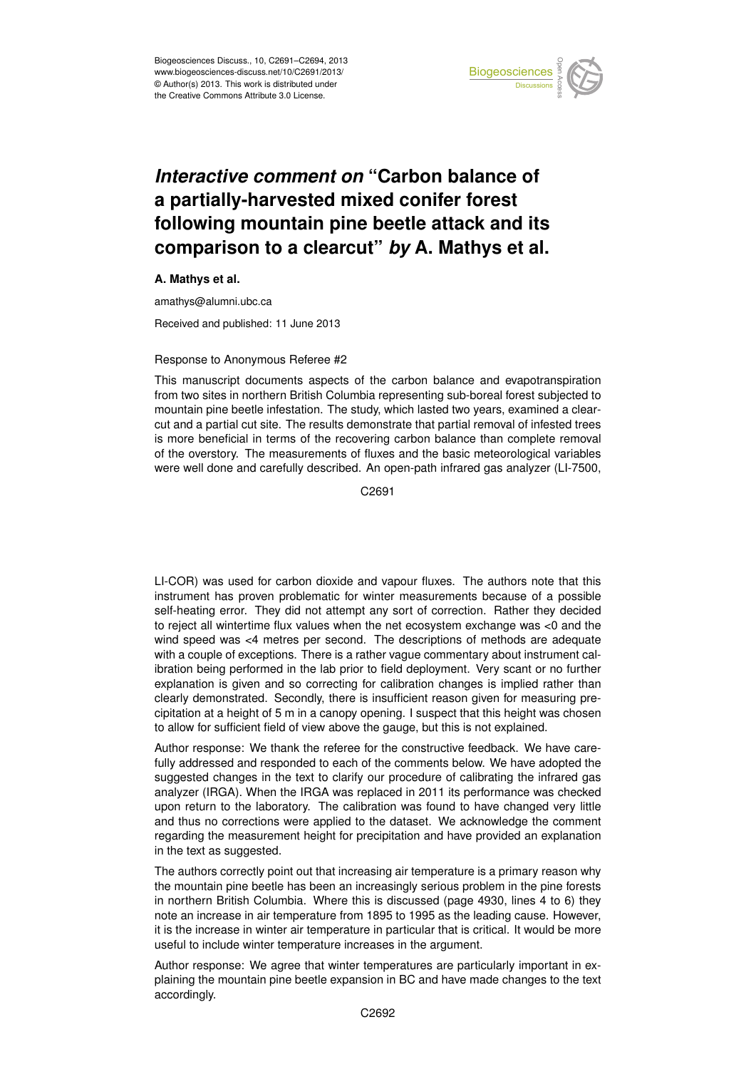

## Earth System a partially-harvested mixed conifer forest  $\overline{\phantom{a}}$ *Interactive comment on* "Carbon balance of following mountain pine beetle attack and its Georgi a vicaru  $\mathbf{r}$  $\sim$  of older comparison to a clearcut" *by* A. Mathys et al.

## **A. Mathys et al.**

amathys@alumni.ubc.ca

 $\overline{G}$ Received and published: 11 June 2013

## Response to Anonymous Referee #2

This manuscript documents aspects of the carbon balance and evapotranspiration from two sites in northern British Columbia representing sub-boreal forest subjected to f<br>วi s<br>وا mountain pine beetle infestation. The study, which lasted two years, examined a clearis more beneficial in terms of the recovering carbon balance than complete removal m<br>f IE<br>ا<br>۷ة of the overstory. The measurements of fluxes and the basic meteorological variables cut and a partial cut site. The results demonstrate that partial removal of infested trees were well done and carefully described. An open-path infrared gas analyzer (LI-7500,

> C<br>C C2691

open Access  $\overline{a}$ LI-COR) was used for carbon dioxide and vapour fluxes. The authors note that this instrument has proven problematic for winter measurements because of a possible self-heating error. They did not attempt any sort of correction. Rather they decided to reject all wintertime flux values when the net ecosystem exchange was <0 and the wind speed was <4 metres per second. The descriptions of methods are adequate with a couple of exceptions. There is a rather vague commentary about instrument calibration being performed in the lab prior to field deployment. Very scant or no further explanation is given and so correcting for calibration changes is implied rather than clearly demonstrated. Secondly, there is insufficient reason given for measuring precipitation at a height of 5 m in a canopy opening. I suspect that this height was chosen to allow for sufficient field of view above the gauge, but this is not explained.

Author response: We thank the referee for the constructive feedback. We have carefully addressed and responded to each of the comments below. We have adopted the suggested changes in the text to clarify our procedure of calibrating the infrared gas analyzer (IRGA). When the IRGA was replaced in 2011 its performance was checked upon return to the laboratory. The calibration was found to have changed very little and thus no corrections were applied to the dataset. We acknowledge the comment regarding the measurement height for precipitation and have provided an explanation in the text as suggested.

The authors correctly point out that increasing air temperature is a primary reason why the mountain pine beetle has been an increasingly serious problem in the pine forests in northern British Columbia. Where this is discussed (page 4930, lines 4 to 6) they note an increase in air temperature from 1895 to 1995 as the leading cause. However, it is the increase in winter air temperature in particular that is critical. It would be more useful to include winter temperature increases in the argument.

Author response: We agree that winter temperatures are particularly important in explaining the mountain pine beetle expansion in BC and have made changes to the text accordingly.